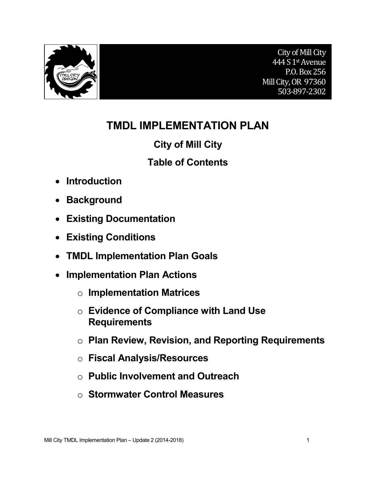

# **TMDL IMPLEMENTATION PLAN**

# **City of Mill City**

# **Table of Contents**

- **Introduction**
- **Background**
- **Existing Documentation**
- **Existing Conditions**
- **TMDL Implementation Plan Goals**
- **Implementation Plan Actions**
	- o **Implementation Matrices**
	- o **Evidence of Compliance with Land Use Requirements**
	- o **Plan Review, Revision, and Reporting Requirements**
	- o **Fiscal Analysis/Resources**
	- o **Public Involvement and Outreach**
	- o **Stormwater Control Measures**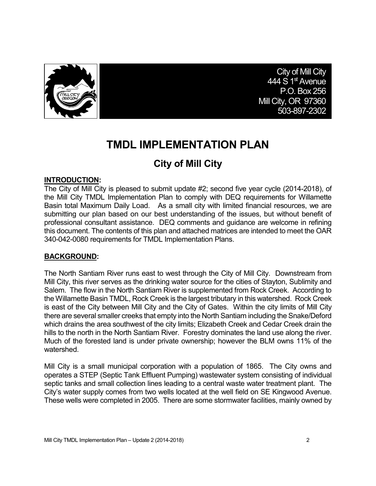

City of Mill City 444 S 1<sup>st</sup> Avenue P.O. Box 256 Mill City, OR 97360 503-897-2302

# **TMDL IMPLEMENTATION PLAN**

# **City of Mill City**

#### **INTRODUCTION:**

The City of Mill City is pleased to submit update #2; second five year cycle (2014-2018), of the Mill City TMDL Implementation Plan to comply with DEQ requirements for Willamette Basin total Maximum Daily Load. As a small city with limited financial resources, we are submitting our plan based on our best understanding of the issues, but without benefit of professional consultant assistance. DEQ comments and guidance are welcome in refining this document. The contents of this plan and attached matrices are intended to meet the OAR 340-042-0080 requirements for TMDL Implementation Plans.

### **BACKGROUND:**

The North Santiam River runs east to west through the City of Mill City. Downstream from Mill City, this river serves as the drinking water source for the cities of Stayton, Sublimity and Salem. The flow in the North Santiam River is supplemented from Rock Creek. According to the Willamette Basin TMDL, Rock Creek is the largest tributary in this watershed. Rock Creek is east of the City between Mill City and the City of Gates. Within the city limits of Mill City there are several smaller creeks that empty into the North Santiam including the Snake/Deford which drains the area southwest of the city limits; Elizabeth Creek and Cedar Creek drain the hills to the north in the North Santiam River. Forestry dominates the land use along the river. Much of the forested land is under private ownership; however the BLM owns 11% of the watershed.

Mill City is a small municipal corporation with a population of 1865. The City owns and operates a STEP (Septic Tank Effluent Pumping) wastewater system consisting of individual septic tanks and small collection lines leading to a central waste water treatment plant. The City's water supply comes from two wells located at the well field on SE Kingwood Avenue. These wells were completed in 2005. There are some stormwater facilities, mainly owned by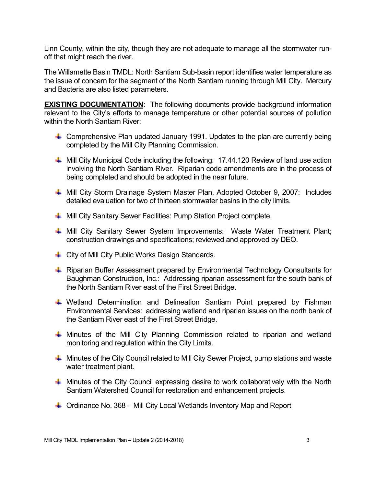Linn County, within the city, though they are not adequate to manage all the stormwater runoff that might reach the river.

The Willamette Basin TMDL: North Santiam Sub-basin report identifies water temperature as the issue of concern for the segment of the North Santiam running through Mill City. Mercury and Bacteria are also listed parameters.

**EXISTING DOCUMENTATION:** The following documents provide background information relevant to the City's efforts to manage temperature or other potential sources of pollution within the North Santiam River:

- $\ddot$  Comprehensive Plan updated January 1991. Updates to the plan are currently being completed by the Mill City Planning Commission.
- $\ddot{+}$  Mill City Municipal Code including the following: 17.44.120 Review of land use action involving the North Santiam River. Riparian code amendments are in the process of being completed and should be adopted in the near future.
- ↓ Mill City Storm Drainage System Master Plan, Adopted October 9, 2007: Includes detailed evaluation for two of thirteen stormwater basins in the city limits.
- $\ddot$  Mill City Sanitary Sewer Facilities: Pump Station Project complete.
- $\quad$  **Mill City Sanitary Sewer System Improvements: Waste Water Treatment Plant;** construction drawings and specifications; reviewed and approved by DEQ.
- ↓ City of Mill City Public Works Design Standards.
- ↓ Riparian Buffer Assessment prepared by Environmental Technology Consultants for Baughman Construction, Inc.: Addressing riparian assessment for the south bank of the North Santiam River east of the First Street Bridge.
- $\ddotmark$  Wetland Determination and Delineation Santiam Point prepared by Fishman Environmental Services: addressing wetland and riparian issues on the north bank of the Santiam River east of the First Street Bridge.
- $\ddot$  Minutes of the Mill City Planning Commission related to riparian and wetland monitoring and regulation within the City Limits.
- $\ddot{\phantom{1}}$  Minutes of the City Council related to Mill City Sewer Project, pump stations and waste water treatment plant.
- $\ddot{+}$  Minutes of the City Council expressing desire to work collaboratively with the North Santiam Watershed Council for restoration and enhancement projects.
- $\downarrow$  Ordinance No. 368 Mill City Local Wetlands Inventory Map and Report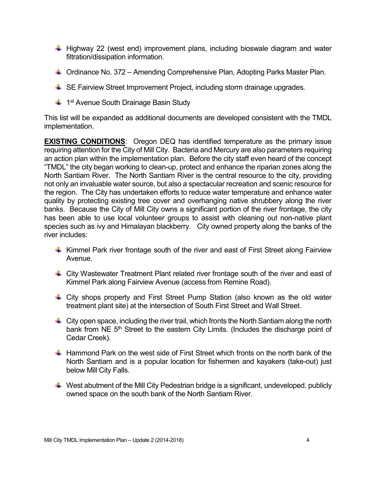- $\pm$  Highway 22 (west end) improvement plans, including bioswale diagram and water filtration/dissipation information.
- $\ddot{\phantom{1}}$  Ordinance No. 372 Amending Comprehensive Plan, Adopting Parks Master Plan.
- **↓ SE Fairview Street Improvement Project, including storm drainage upgrades.**
- $\ddot{\phantom{1}}$  1<sup>st</sup> Avenue South Drainage Basin Study

This list will be expanded as additional documents are developed consistent with the TMDL implementation.

**EXISTING CONDITIONS:** Oregon DEQ has identified temperature as the primary issue requiring attention for the City of Mill City. Bacteria and Mercury are also parameters requiring an action plan within the implementation plan. Before the city staff even heard of the concept "TMDL" the city began working to clean-up, protect and enhance the riparian zones along the North Santiam River. The North Santiam River is the central resource to the city, providing not only an invaluable water source, but also a spectacular recreation and scenic resource for the region. The City has undertaken efforts to reduce water temperature and enhance water quality by protecting existing tree cover and overhanging native shrubbery along the river banks. Because the City of Mill City owns a significant portion of the river frontage, the city has been able to use local volunteer groups to assist with cleaning out non-native plant species such as ivy and Himalayan blackberry. City owned property along the banks of the river includes:

- $\ddot{+}$  Kimmel Park river frontage south of the river and east of First Street along Fairview Avenue.
- City Wastewater Treatment Plant related river frontage south of the river and east of Kimmel Park along Fairview Avenue (access from Remine Road).
- City shops property and First Street Pump Station (also known as the old water treatment plant site) at the intersection of South First Street and Wall Street.
- $\ddot{\phantom{1}}$  City open space, including the river trail, which fronts the North Santiam along the north bank from NE 5<sup>th</sup> Street to the eastern City Limits. (Includes the discharge point of Cedar Creek).
- $\ddot{\phantom{1}}$  Hammond Park on the west side of First Street which fronts on the north bank of the North Santiam and is a popular location for fishermen and kayakers (take-out) just below Mill City Falls.
- $\ddot{\phantom{1}}$  West abutment of the Mill City Pedestrian bridge is a significant, undeveloped, publicly owned space on the south bank of the North Santiam River.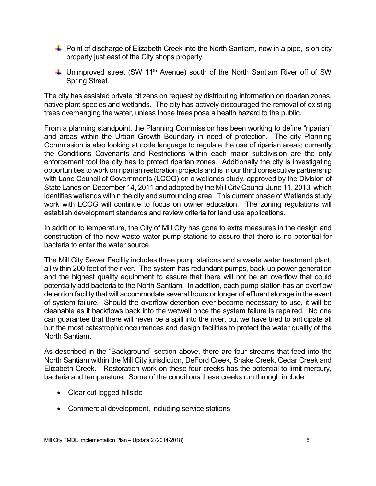- $\ddot{\phantom{1}}$  Point of discharge of Elizabeth Creek into the North Santiam, now in a pipe, is on city property just east of the City shops property.
- $\ddot$  Unimproved street (SW 11<sup>th</sup> Avenue) south of the North Santiam River off of SW Spring Street.

The city has assisted private citizens on request by distributing information on riparian zones, native plant species and wetlands. The city has actively discouraged the removal of existing trees overhanging the water, unless those trees pose a health hazard to the public.

From a planning standpoint, the Planning Commission has been working to define "riparian" and areas within the Urban Growth Boundary in need of protection. The city Planning Commission is also looking at code language to regulate the use of riparian areas; currently the Conditions Covenants and Restrictions within each major subdivision are the only enforcement tool the city has to protect riparian zones. Additionally the city is investigating opportunities to work on riparian restoration projects and is in our third consecutive partnership with Lane Council of Governments (LCOG) on a wetlands study, approved by the Division of State Lands on December 14, 2011 and adopted by the Mill City Council June 11, 2013, which identifies wetlands within the city and surrounding area. This current phase of Wetlands study work with LCOG will continue to focus on owner education. The zoning regulations will establish development standards and review criteria for land use applications.

In addition to temperature, the City of Mill City has gone to extra measures in the design and construction of the new waste water pump stations to assure that there is no potential for bacteria to enter the water source.

The Mill City Sewer Facility includes three pump stations and a waste water treatment plant, all within 200 feet of the river. The system has redundant pumps, back-up power generation and the highest quality equipment to assure that there will not be an overflow that could potentially add bacteria to the North Santiam. In addition, each pump station has an overflow detention facility that will accommodate several hours or longer of effluent storage in the event of system failure. Should the overflow detention ever become necessary to use, it will be cleanable as it backflows back into the wetwell once the system failure is repaired. No one can guarantee that there will never be a spill into the river, but we have tried to anticipate all but the most catastrophic occurrences and design facilities to protect the water quality of the North Santiam.

As described in the "Background" section above, there are four streams that feed into the North Santiam within the Mill City jurisdiction, DeFord Creek, Snake Creek, Cedar Creek and Elizabeth Creek. Restoration work on these four creeks has the potential to limit mercury, bacteria and temperature. Some of the conditions these creeks run through include:

- Clear cut logged hillside
- Commercial development, including service stations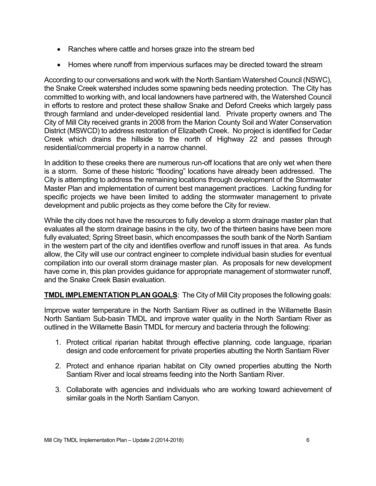- Ranches where cattle and horses graze into the stream bed
- Homes where runoff from impervious surfaces may be directed toward the stream

According to our conversations and work with the North Santiam Watershed Council (NSWC), the Snake Creek watershed includes some spawning beds needing protection. The City has committed to working with, and local landowners have partnered with, the Watershed Council in efforts to restore and protect these shallow Snake and Deford Creeks which largely pass through farmland and under-developed residential land. Private property owners and The City of Mill City received grants in 2008 from the Marion County Soil and Water Conservation District (MSWCD) to address restoration of Elizabeth Creek. No project is identified for Cedar Creek which drains the hillside to the north of Highway 22 and passes through residential/commercial property in a narrow channel.

In addition to these creeks there are numerous run-off locations that are only wet when there is a storm. Some of these historic "flooding" locations have already been addressed. The City is attempting to address the remaining locations through development of the Stormwater Master Plan and implementation of current best management practices. Lacking funding for specific projects we have been limited to adding the stormwater management to private development and public projects as they come before the City for review.

While the city does not have the resources to fully develop a storm drainage master plan that evaluates all the storm drainage basins in the city, two of the thirteen basins have been more fully evaluated; Spring Street basin, which encompasses the south bank of the North Santiam in the western part of the city and identifies overflow and runoff issues in that area. As funds allow, the City will use our contract engineer to complete individual basin studies for eventual compilation into our overall storm drainage master plan. As proposals for new development have come in, this plan provides guidance for appropriate management of stormwater runoff, and the Snake Creek Basin evaluation.

**TMDL IMPLEMENTATION PLAN GOALS**: The City of Mill City proposes the following goals:

Improve water temperature in the North Santiam River as outlined in the Willamette Basin North Santiam Sub-basin TMDL and improve water quality in the North Santiam River as outlined in the Willamette Basin TMDL for mercury and bacteria through the following:

- 1. Protect critical riparian habitat through effective planning, code language, riparian design and code enforcement for private properties abutting the North Santiam River
- 2. Protect and enhance riparian habitat on City owned properties abutting the North Santiam River and local streams feeding into the North Santiam River.
- 3. Collaborate with agencies and individuals who are working toward achievement of similar goals in the North Santiam Canyon.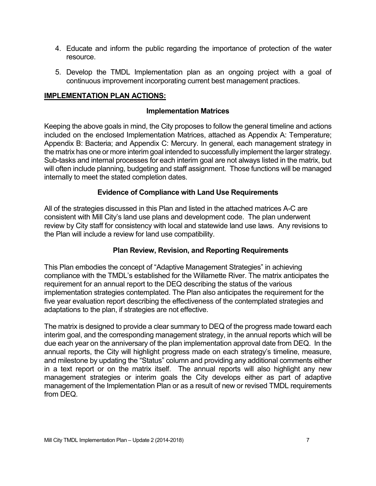- 4. Educate and inform the public regarding the importance of protection of the water resource.
- 5. Develop the TMDL Implementation plan as an ongoing project with a goal of continuous improvement incorporating current best management practices.

## **IMPLEMENTATION PLAN ACTIONS:**

#### **Implementation Matrices**

Keeping the above goals in mind, the City proposes to follow the general timeline and actions included on the enclosed Implementation Matrices, attached as Appendix A: Temperature; Appendix B: Bacteria; and Appendix C: Mercury. In general, each management strategy in the matrix has one or more interim goal intended to successfully implement the larger strategy. Sub-tasks and internal processes for each interim goal are not always listed in the matrix, but will often include planning, budgeting and staff assignment. Those functions will be managed internally to meet the stated completion dates.

#### **Evidence of Compliance with Land Use Requirements**

All of the strategies discussed in this Plan and listed in the attached matrices A-C are consistent with Mill City's land use plans and development code. The plan underwent review by City staff for consistency with local and statewide land use laws. Any revisions to the Plan will include a review for land use compatibility.

### **Plan Review, Revision, and Reporting Requirements**

This Plan embodies the concept of "Adaptive Management Strategies" in achieving compliance with the TMDL's established for the Willamette River. The matrix anticipates the requirement for an annual report to the DEQ describing the status of the various implementation strategies contemplated. The Plan also anticipates the requirement for the five year evaluation report describing the effectiveness of the contemplated strategies and adaptations to the plan, if strategies are not effective.

The matrix is designed to provide a clear summary to DEQ of the progress made toward each interim goal, and the corresponding management strategy, in the annual reports which will be due each year on the anniversary of the plan implementation approval date from DEQ. In the annual reports, the City will highlight progress made on each strategy's timeline, measure, and milestone by updating the "Status" column and providing any additional comments either in a text report or on the matrix itself. The annual reports will also highlight any new management strategies or interim goals the City develops either as part of adaptive management of the Implementation Plan or as a result of new or revised TMDL requirements from DEQ.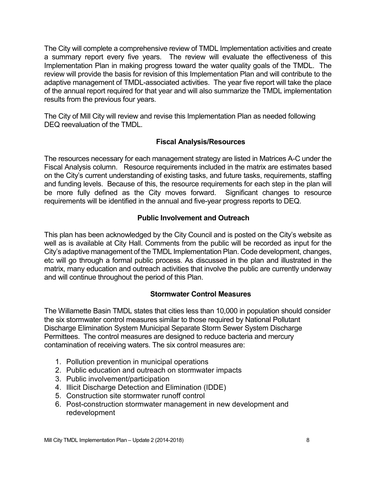The City will complete a comprehensive review of TMDL Implementation activities and create a summary report every five years. The review will evaluate the effectiveness of this Implementation Plan in making progress toward the water quality goals of the TMDL. The review will provide the basis for revision of this Implementation Plan and will contribute to the adaptive management of TMDL-associated activities. The year five report will take the place of the annual report required for that year and will also summarize the TMDL implementation results from the previous four years.

The City of Mill City will review and revise this Implementation Plan as needed following DEQ reevaluation of the TMDL.

### **Fiscal Analysis/Resources**

The resources necessary for each management strategy are listed in Matrices A-C under the Fiscal Analysis column. Resource requirements included in the matrix are estimates based on the City's current understanding of existing tasks, and future tasks, requirements, staffing and funding levels. Because of this, the resource requirements for each step in the plan will be more fully defined as the City moves forward. Significant changes to resource requirements will be identified in the annual and five-year progress reports to DEQ.

### **Public Involvement and Outreach**

This plan has been acknowledged by the City Council and is posted on the City's website as well as is available at City Hall. Comments from the public will be recorded as input for the City's adaptive management of the TMDL Implementation Plan. Code development, changes, etc will go through a formal public process. As discussed in the plan and illustrated in the matrix, many education and outreach activities that involve the public are currently underway and will continue throughout the period of this Plan.

### **Stormwater Control Measures**

The Willamette Basin TMDL states that cities less than 10,000 in population should consider the six stormwater control measures similar to those required by National Pollutant Discharge Elimination System Municipal Separate Storm Sewer System Discharge Permittees. The control measures are designed to reduce bacteria and mercury contamination of receiving waters. The six control measures are:

- 1. Pollution prevention in municipal operations
- 2. Public education and outreach on stormwater impacts
- 3. Public involvement/participation
- 4. Illicit Discharge Detection and Elimination (IDDE)
- 5. Construction site stormwater runoff control
- 6. Post-construction stormwater management in new development and redevelopment